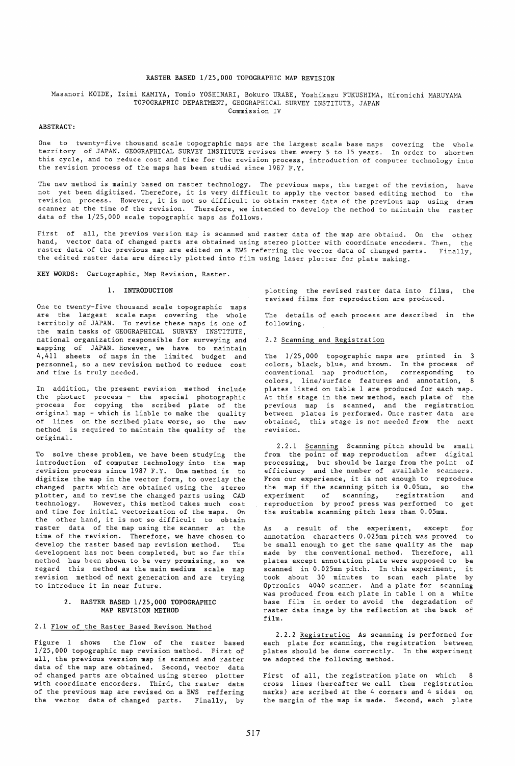## RASTER BASED 1/25,000 TOPOGRAPHIC MAP REVISION

#### Masanori KOIDE, Izimi KAMIYA, Tomio YOSHINARI, Bokuro URABE, Yoshikazu FUKUSHIMA, Hiromichi MARUYAMA TOPOGRAPHIC DEPARTMENT, GEOGRAPHICAL SURVEY INSTITUTE, JAPAN Commission IV

#### ABSTRACT:

One to twenty-five thousand scale topographic maps are the largest scale base maps covering the whole territory of JAPAN. GEOGRAPHICAL SURVEY INSTITUTE revises them every 5 to 15 years. In order to shorten this cycle, and to reduce cost and time for the revision process, introduction of computer technology into the revision process of the maps has been studied since 1987 F.Y.

The new method is mainly based on raster technology. The previous maps, the target of the revision, have not yet been digitized. Therefore, it is very difficult to apply the vector based editing method to the revision process. However, it is not so difficult to obtain raster data of the previous map using dram scanner at the time of the revision. Therefore, we intended to develop the method to maintain the raster data of the 1/25,000 scale topographic maps as follows.

First of all, the previos version map is scanned and raster data of the map are obtaind. On the other hand, vector data of changed parts are obtained using stereo plotter with coordinate encoders. Then, the raster data of the previous map are edited on a EWS referring the vector data of changed parts. the edited raster data are directly plotted into film using laser plotter for plate making. Finally,

KEY WORDS: Cartographic, Map Revision, Raster.

# 1. INTRODUCTION

One to twenty-five thousand scale topographic maps are the largest scale maps covering the whole territoly of JAPAN. To revise these maps is one of the main tasks of GEOGRAPHICAL SURVEY INSTITUTE, national organization responsible for surveying and mapping of JAPAN. However, we have to maintain 4,411 sheets of maps in the limited budget and personnel, so a new revision method to reduce cost and time is truly needed.

In addition, the present revision method include the photact process - the special photographic process for copying the scribed plate of the original map - which is liable to make the quality of lines on the scribed plate worse, so the new method is required to maintain the quality of the original.

To solve these problem, we have been studying the introduction of computer technology into the map revision process since 1987 F.Y. One method is to digitize the map in the vector form, to overlay the changed parts which are obtained using the stereo plotter, and to revise the changed parts using CAD technology. However, this method takes much cost and time for initial vectorization of the maps. On the other hand, it is not so difficult to obtain raster data of the map using the scanner at the time of the revision. Therefore, we have chosen to develop the raster based map revision method. The development has not been completed, but so far this method has been shown to be very promising, so we regard this method as the main medium scale map revision method of next generation and are trying to introduce it in near future.

## 2. RASTER BASED 1/25,000 TOPOGRAPHIC MAP REVISION METHOD

## 2.1 Flow of the Raster Based Revison Method

Figure 1 shows the flow of the raster based 1/25,000 topographic map revision method. First of all, the previous version map is scanned and raster data of the map are obtained. Second, vector data of changed parts are obtained using stereo plotter with coordinate encorders. Third, the raster data of the previous map are revised on a EWS reffering the vector data of changed parts. Finally, by plotting the revised raster data into films, the revised films for reproduction are produced.

The details of each process are described in the following.

#### 2.2 Scanning and Registration

The 1/25,000 topographic maps are printed in 3 colors, black, blue, and brown. In the process of<br>conventional map production, corresponding to conventional map production, corresponding to colors, line/surface features and annotation, 8 plates listed on table 1 are produced for each map. At this stage in the new method, each plate of the previous map is scanned, and the registration between plates is performed. Once raster data are obtained, this stage is not needed from the next revision.

2.2.1 Scanning Scanning pitch should be small from the point of map reproduction after digital processing, but should be large from the point of efficiency and the number of available scanners. From our experience, it is not enough to reproduce the map if the scanning pitch is 0.05mm, so the<br>experiment of scanning, registration and  $experiment$  of scanning, registration reproduction by proof press was performed to get the suitable scanning pitch less than 0.05mm.

As a result of the experiment, except for annotation characters 0.025mm pitch was proved to be small enough to get the same quality as the map made by the conventional method. Therefore, all plates except annotation plate were supposed to be scanned in 0.025mm pitch. In this experiment, it took about 30 minutes to scan each plate by Optronics 4040 scanner. And a plate for scanning was produced from each plate in table 1 on a white base film in order to avoid the degradation of raster data image by the reflection at the back of film.

2.2.2 Registration As scanning is performed for each plate for scanning, the registration between plates should be done correctly. In the experiment we adopted the following method.

First of all, the registration plate on which 8 cross lines (hereafter we call them registration marks) are scribed at the 4 corners and 4 sides on the margin of the map is made. Second, each plate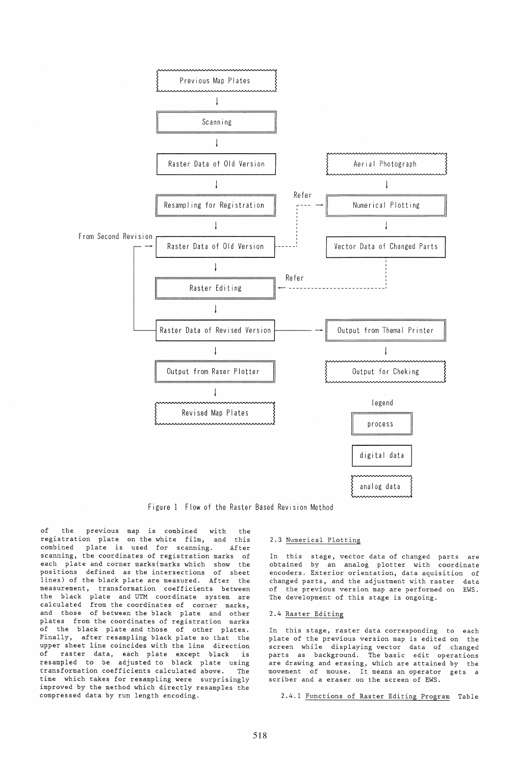

Figure 1 Flow of the Raster Based Revision Method

of the previous map is combined with the registration plate on the white film, and this<br>combined plate is used for scanning. After plate is used for scanning. After scanning, the coordinates of registration marks of each plate and corner marks(marks which show the positions defined as the intersections of sheet lines) of the black plate are measured. After the measurement, transformation coefficients between the black plate and UTM coordinate system are calculated from the coordinates of corner marks, and those of between the black plate and other plates from the coordinates of registration marks .<br>of the black plate and those of other plates. Finally, after resampling black plate so that the upper sheet line coincides with the line direction of raster data, each plate except black is resampled to be adjusted to black plate using transformation coefficients calculated above. The time which takes for resampling were surprisingly improved by the method which directly resamples the compressed data by run length encoding.

## 2.3 Numerical Plotting

In this stage, vector data of changed parts are obtained by an analog plotter with coordinate encoders. Exterior orientation, data aquisition of changed parts, and the adjustment with raster data of the previous version map are performed on EWS. The development of this stage is ongoing.

# 2.4 Raster Editing

In this stage, raster data corresponding to each plate of the previous version map is edited on the screen while displaying vector data of changed parts as background. The basic edit operations are drawing and erasing, which are attained by the movement of mouse. It means an operator gets a scriber and a eraser on the screen of EWS.

2.4.1 Functions of Raster Editing Program Table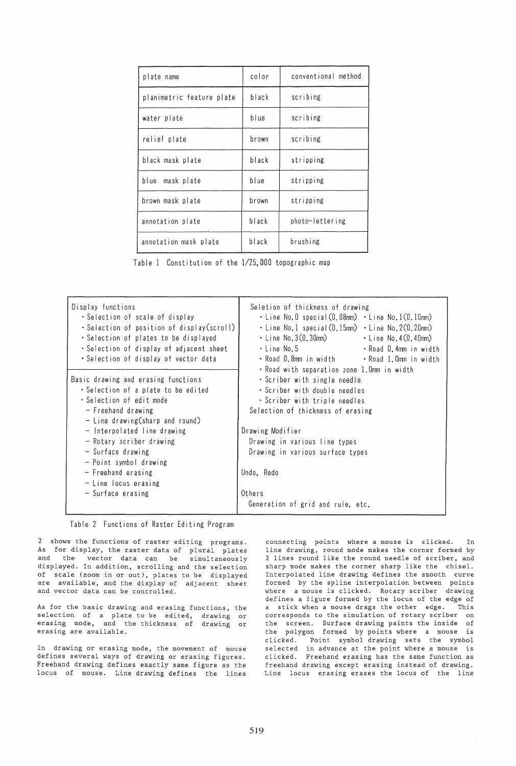| plate name                | color | conventional method |
|---------------------------|-------|---------------------|
| planimetric feature plate | black | scribing            |
| water plate               | blue  | scribing            |
| relief plate              | brown | scribing            |
| black mask plate          | black | stripping           |
| blue mask plate           | blue  | stripping           |
| brown mask plate          | brown | stripping           |
| annotation plate          | black | photo-lettering     |
| annotation mask plate     | black | brushing            |

Table 1 Constitution of the 1/25,000 topographic map

| Display functions<br>• Selection of scale of display<br>• Selection of position of display(scroll)<br>• Selection of plates to be displayed<br>• Selection of display of adjacent sheet<br>• Selection of display of vector data                                             | Seletion of thickness of drawing<br>$\cdot$ Line No.0 special $(0,08$ mm) $\cdot$ Line No.1 $(0,10$ mm)<br>$\cdot$ Line No.1 special $(0, 15$ mm) $\cdot$ Line No.2 $(0, 20$ mm)<br>$\cdot$ Line No. 3(0.30 $\text{mm}$ ) $\cdot$ Line No. 4(0.40 $\text{mm}$ )<br>∙ Line No.5<br>• Road O.4mm in width<br>• Road 0.8mm in width • Road 1.0mm in width<br>• Road with separation zone 1.0mm in width |
|------------------------------------------------------------------------------------------------------------------------------------------------------------------------------------------------------------------------------------------------------------------------------|------------------------------------------------------------------------------------------------------------------------------------------------------------------------------------------------------------------------------------------------------------------------------------------------------------------------------------------------------------------------------------------------------|
| Basic drawing and erasing functions<br>• Selection of a plate to be edited<br>• Selection of edit mode<br>- Freehand drawing<br>$-$ Line drawing (sharp and round)<br>- Interpolated line drawing<br>- Rotary scriber drawing<br>- Surface drawing<br>- Point symbol drawing | • Scriber with single needle<br>. Scriber with double needles<br>. Scriber with triple needles<br>Selection of thickness of erasing<br>Drawing Modifier<br>Drawing in various line types<br>Drawing in various surface types                                                                                                                                                                         |
| $-$ Freehand erasing<br>$-$ Line locus erasing<br>- Surface erasing                                                                                                                                                                                                          | Undo, Redo<br>Others<br>Generation of grid and rule, etc.                                                                                                                                                                                                                                                                                                                                            |



2 shows the functions of raster editing programs. As for display, the raster data of plural plates and the vector data can be simultaneously displayed. In addition, scrolling and the selection of scale (zoom in or out), plates to be displayed are available, and the display of adjacent sheet and vector data can be controlled.

As for the basic drawing and erasing functions, the selection of a plate to be edited, drawing or erasing mode, and the thickness of drawing or erasing are available.

In drawing or erasing mode, the movement of mouse defines several ways of drawing or erasing figures. Freehand drawing defines exactly same figure as the locus of mouse. Line drawing defines the lines

connecting points where a mouse is clicked. In line drawing, round mode makes the corner formed by 2 lines round like the round needle of scriber, and sharp mode makes the corner sharp like the chisel. Interpolated line drawing defines the smooth curve formed by the spline interpolation between points where a mouse is clicked. Rotary scriber drawing defines a figure formed by the locus of the edge of a stick when a mouse drags the other edge. This corresponds to the simulation of rotary scriber on the screen. Surface drawing paints the inside of the polygon formed by points where a mouse is clicked. Point symbol drawing sets the symbol selected in advance at the point where a mouse is clicked. Freehand erasing has the same function as freehand drawing except erasing instead of drawing. Line locus erasing erases the locus of the line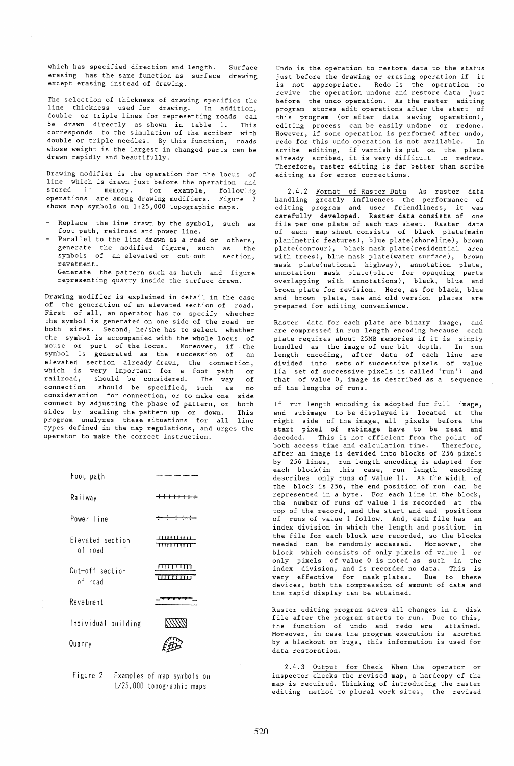which has specified direction and length. erasing has the same function as surface drawing except erasing instead of drawing. Surface

The selection of thickness of drawing specifies the line thickness used for drawing. In addition, double or triple lines for representing roads can be drawn directly as shown in table 1. This corresponds to the simulation of the scriber with double or triple needles. By this function, roads whose weight is the largest in changed parts can be drawn rapidly and beautifully.

Drawing modifier is the operation for the locus of line which is drawn just before the operation and stored in memory. For example, following operations are among drawing modifiers. Figure 2 operations are among drawing modifiers. Figurshows map symbols on 1:25,000 topographic maps.

- Replace the line drawn by the symbol, such as foot path, railroad and power line.
- Parallel to the line drawn as a road or others, generate the modified figure, such as the symbols of an elevated or cut-out revetment. section,
- Generate the pattern such as hatch and figure representing quarry inside the surface drawn.

Drawing modifier is explained in detail in the case of the generation of an elevated section of road. First of all, an operator has to specify whether the symbol is generated on one side of the road or both sides. Second, he/she has to select whether the symbol is accompanied with the whole locus of mouse or part of the locus. Moreover, if the symbol is generated as the succession of an elevated section already drawn, the connection, which is very important for a foot path or railroad, should be considered. The way of connection should be specified, such as no consideration for connection, or to make one side connect by adjusting the phase of pattern, or both sides by scaling the pattern up or down. This program analyzes these situations for all line types defined in the map regulations, and urges the operator to make the correct instruction.





Undo is the operation to restore data to the status just before the drawing or erasing operation if it is not appropriate. Redo is the operation to revive the operation undone and restore data just before the undo operation. As the raster editing program stores edit operations after the start of .<br>this program (or after data saving operation), editing process can be easily undone or redone. However, if some operation is performed after undo, redo for this undo operation is not available. In scribe editing, if varnish is put on the place already scribed, it is very difficult to redraw. Therefore, raster editing is far better than scribe editing as for error corrections.

2.4.2 Format of Raster Data As raster data handling greatly influences the performance of editing program and user friendliness, it was carefully developed. Raster data consists of one file per one plate of each map sheet. Raster data of each map sheet consists of black plate(main planimetric features), blue plate(shoreline), brown plate(contour), black mask plate(residential area with trees), blue mask plate(water surface), brown mask plate(national highway), annotation plate, annotation mask plate(plate for opaquing parts overlapping with annotations), black, blue and brown plate for revision. Here, as for black, blue and brown plate, new and old version plates are prepared for editing convenience.

Raster data for each plate are binary image, and are compressed in run length encoding because each plate requires about 25MB memories if it is simply hundled as the image of one bit depth. In run length encoding, after data of each line are divided into sets of successive pixels of value l(a set of successive pixels is called 'run') and that of value 0, image is described as a sequence of the lengths of runs.

If run length encoding is adopted for full image, and subimage to be displayed is located at the right side of the image, all pixels before the start pixel of subimage have to be read and decoded. This is not efficient from the point of<br>both access time and calculation time. Therefore, both access time and calculation time. after an image is devided into blocks of 256 pixels by 256 lines, run length encoding is adapted for each block(in this case, run length encoding describes only runs of value 1). As the width of the block is 256, the end position of run can be represented in a byte. For each line in the block, the number of runs of value 1 is recorded at the top of the record, and the start and end positions of runs of value 1 follow. And, each file has an index division in which the length and position in the file for each block are recorded, so the blocks needed can be randomly accessed. Moreover, the block which consists of only pixels of value 1 or only pixels of value 0 is noted as such in the index division, and is recorded no data. This is very effective for mask plates. Due to these devices, both the compression of amount of data and the rapid display can be attained.

Raster editing program saves all changes in a disk file after the program starts to run. Due to this, the function of undo and redo are attained. Moreover, in case the program execution is aborted by a blackout or bugs, this information is used for data restoration.

2.4.3 Output for Check When the operator or inspector checks the revised map, a hardcopy of the map is required. Thinking of introducing the raster editing method to plural work sites, the revised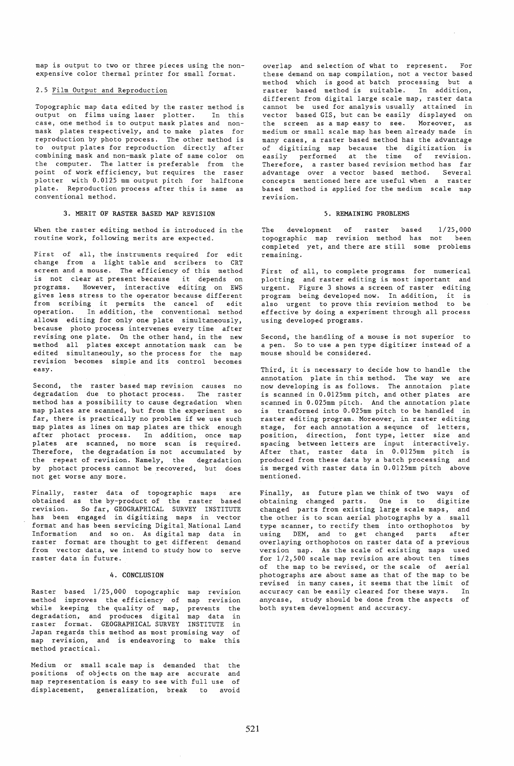map is output to two or three pieces using the nonexpensive color thermal printer for small format.

#### 2.5 Film Output and Reproduction

Topographic map data edited by the raster method is output on films using laser plotter. In this case, one method is to output mask plates and nonmask plates respectively, and to make plates for reproduction by photo process. The other method is to output plates for reproduction directly after combining mask and non-mask plate of same color on the computer. The latter is preferable from the point of work efficiency, but requires the raser plotter with 0.0125 mm output pitch for halftone plate. Reproduction process after this is same as conventional method.

# 3. MERIT OF RASTER BASED MAP REVISION

When the raster editing method is introduced in the routine work, following merits are expected.

First of all, the instruments required for edit change from a light table and scribers to CRT screen and a mouse. The efficiency of this method is not clear at present because it depends on programs. However, interactive editing on EWS gives less stress to the operator because different from scribing it permits the cancel of edit operation. In addition, the conventional method allows editing for only one plate simultaneously, because photo process intervenes every time after revising one plate. On the other hand, in the new method all plates except annotation mask can be edited simultaneouly, so the process for the map revision becomes simple and its control becomes easy.

Second, the raster based map revision causes no degradation due to photact process. The raster method has a possibility to cause degradation when map plates are scanned, but from the experiment so far, there is practically no problem if we use such map plates as lines on map plates are thick enough after photact process. In addition, once map plates are scanned, no more scan is required. Therefore, the degradation is not accumulated by the repeat of revision. Namely, the degradation by photact process cannot be recovered, but does not get worse any more.

Finally, raster data of topographic maps are obtained as the by-product of the raster based revision. So far, GEOGRAPHICAL SURVEY INSTITUTE has been engaged in digitizing maps in vector format and has been servicing Digital National Land Information and so on. As digital map data in raster format are thought to get different demand from vector data, we intend to study how to serve raster data in future.

#### 4. CONCLUSION

Raster based 1/25,000 topographic map revision method improves the efficiency of map revision while keeping the quality of map, prevents the degradation, and produces digital map data in raster format. GEOGRAPHICAL SURVEY INSTITUTE in Japan regards this method as most promising way of map revision, and is endeavoring to make this method practical.

Medium or small scale map is demanded that the positions of objects on the map are accurate and map representation is easy to see with full use of displacement, generalization, break to avoid

overlap and selection of what to represent. For these demand on map compilation, not a vector based method which is good at batch processing but a raster based method is suitable. In addition, different from digital large scale map, raster data cannot be used for analysis usually attained in vector based GIS, but can be easily displayed on the screen as a map easy to see. Moreover, as medium or small scale map has been already made in many cases, a raster based method has the advantage of digitizing map because the digitization is easily performed at the time of revision. Therefore, a raster based revision method has far advantage over a vector based method. Several concepts mentioned here are useful when a raster based method is applied for the medium scale map revision.

#### 5. REMAINING PROBLEMS

The development of raster based topographic map revision method has not been completed yet, and there are still some problems remaining. 1/25,000

First of all, to complete programs for numerical plotting and raster editing is most important and urgent. Figure 3 shows a screen of raster editing program being developed now. In addition, it is also urgent to prove this revision method to be effective by doing a experiment through all process using developed programs.

Second, the handling of a mouse is not superior to a pen. So to use a pen type digitizer instead of a mouse should be considered.

Third, it is necessary to decide how to handle the annotation plate in this method. The way we are now developing is as follows. The annotaion plate is scanned in 0.0125mm pitch, and other plates are scanned in 0.025mm pitch. And the annotation plate is tranformed into 0.025mm pitch to be handled in raster editing program. Moreover, in raster editing stage, for each annotation a sequnce of letters, position, direction, font type, letter size and spacing between letters are input interactively. After that, raster data in 0.0125mm pitch is produced from these data by a batch processing and is merged with raster data in 0,0125mm pitch above mentioned.

Finally, as future plan we think of two ways of obtaining changed parts. One is to digitize changed parts from existing large scale maps, and the other is to scan aerial photographs by a small type scanner, to rectify them into orthophotos by using DEM, and to get changed parts after overlaying orthophotos on raster data of a previous version map. As the scale of existing maps used for 1/2,500 scale map revision are about ten times of the map to be revised, or the scale of aerial photographs are about same as that of the map to be revised in many cases, it seems that the limit of accuracy can be easily cleared for these ways. In anycase, study should be done from the aspects of both system development and accuracy.